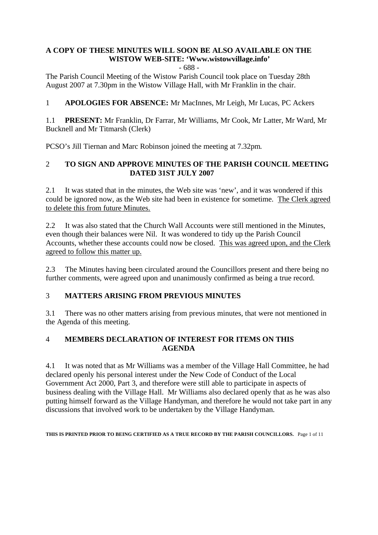# **A COPY OF THESE MINUTES WILL SOON BE ALSO AVAILABLE ON THE WISTOW WEB-SITE: 'Www.wistowvillage.info'**

- 688 -

The Parish Council Meeting of the Wistow Parish Council took place on Tuesday 28th August 2007 at 7.30pm in the Wistow Village Hall, with Mr Franklin in the chair.

1 **APOLOGIES FOR ABSENCE:** Mr MacInnes, Mr Leigh, Mr Lucas, PC Ackers

1.1 **PRESENT:** Mr Franklin, Dr Farrar, Mr Williams, Mr Cook, Mr Latter, Mr Ward, Mr Bucknell and Mr Titmarsh (Clerk)

PCSO's Jill Tiernan and Marc Robinson joined the meeting at 7.32pm.

# 2 **TO SIGN AND APPROVE MINUTES OF THE PARISH COUNCIL MEETING DATED 31ST JULY 2007**

2.1 It was stated that in the minutes, the Web site was 'new', and it was wondered if this could be ignored now, as the Web site had been in existence for sometime. The Clerk agreed to delete this from future Minutes.

2.2 It was also stated that the Church Wall Accounts were still mentioned in the Minutes, even though their balances were Nil. It was wondered to tidy up the Parish Council Accounts, whether these accounts could now be closed. This was agreed upon, and the Clerk agreed to follow this matter up.

2.3 The Minutes having been circulated around the Councillors present and there being no further comments, were agreed upon and unanimously confirmed as being a true record.

# 3 **MATTERS ARISING FROM PREVIOUS MINUTES**

3.1 There was no other matters arising from previous minutes, that were not mentioned in the Agenda of this meeting.

# 4 **MEMBERS DECLARATION OF INTEREST FOR ITEMS ON THIS AGENDA**

4.1 It was noted that as Mr Williams was a member of the Village Hall Committee, he had declared openly his personal interest under the New Code of Conduct of the Local Government Act 2000, Part 3, and therefore were still able to participate in aspects of business dealing with the Village Hall. Mr Williams also declared openly that as he was also putting himself forward as the Village Handyman, and therefore he would not take part in any discussions that involved work to be undertaken by the Village Handyman.

**THIS IS PRINTED PRIOR TO BEING CERTIFIED AS A TRUE RECORD BY THE PARISH COUNCILLORS.** Page 1 of 11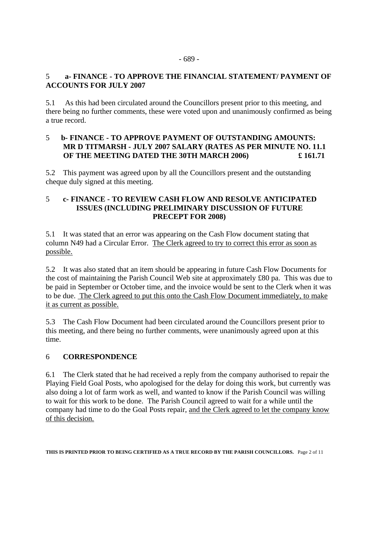# 5 **a- FINANCE - TO APPROVE THE FINANCIAL STATEMENT/ PAYMENT OF ACCOUNTS FOR JULY 2007**

5.1 As this had been circulated around the Councillors present prior to this meeting, and there being no further comments, these were voted upon and unanimously confirmed as being a true record.

# 5 **b- FINANCE - TO APPROVE PAYMENT OF OUTSTANDING AMOUNTS: MR D TITMARSH - JULY 2007 SALARY (RATES AS PER MINUTE NO. 11.1 OF THE MEETING DATED THE 30TH MARCH 2006) £ 161.71**

5.2 This payment was agreed upon by all the Councillors present and the outstanding cheque duly signed at this meeting.

#### 5 **c- FINANCE - TO REVIEW CASH FLOW AND RESOLVE ANTICIPATED ISSUES (INCLUDING PRELIMINARY DISCUSSION OF FUTURE PRECEPT FOR 2008)**

5.1 It was stated that an error was appearing on the Cash Flow document stating that column N49 had a Circular Error. The Clerk agreed to try to correct this error as soon as possible.

5.2 It was also stated that an item should be appearing in future Cash Flow Documents for the cost of maintaining the Parish Council Web site at approximately £80 pa. This was due to be paid in September or October time, and the invoice would be sent to the Clerk when it was to be due. The Clerk agreed to put this onto the Cash Flow Document immediately, to make it as current as possible.

5.3 The Cash Flow Document had been circulated around the Councillors present prior to this meeting, and there being no further comments, were unanimously agreed upon at this time.

# 6 **CORRESPONDENCE**

6.1 The Clerk stated that he had received a reply from the company authorised to repair the Playing Field Goal Posts, who apologised for the delay for doing this work, but currently was also doing a lot of farm work as well, and wanted to know if the Parish Council was willing to wait for this work to be done. The Parish Council agreed to wait for a while until the company had time to do the Goal Posts repair, and the Clerk agreed to let the company know of this decision.

**THIS IS PRINTED PRIOR TO BEING CERTIFIED AS A TRUE RECORD BY THE PARISH COUNCILLORS.** Page 2 of 11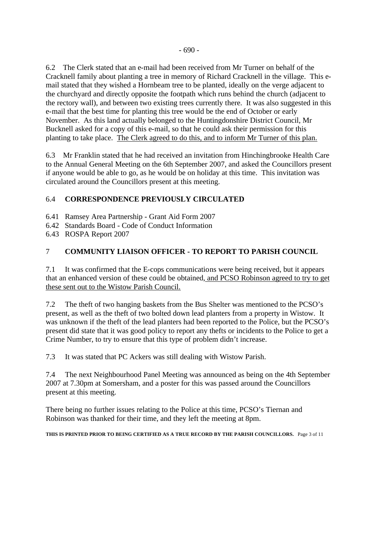6.2 The Clerk stated that an e-mail had been received from Mr Turner on behalf of the Cracknell family about planting a tree in memory of Richard Cracknell in the village. This email stated that they wished a Hornbeam tree to be planted, ideally on the verge adjacent to the churchyard and directly opposite the footpath which runs behind the church (adjacent to the rectory wall), and between two existing trees currently there. It was also suggested in this e-mail that the best time for planting this tree would be the end of October or early November. As this land actually belonged to the Huntingdonshire District Council, Mr Bucknell asked for a copy of this e-mail, so that he could ask their permission for this planting to take place. The Clerk agreed to do this, and to inform Mr Turner of this plan.

6.3 Mr Franklin stated that he had received an invitation from Hinchingbrooke Health Care to the Annual General Meeting on the 6th September 2007, and asked the Councillors present if anyone would be able to go, as he would be on holiday at this time. This invitation was circulated around the Councillors present at this meeting.

# 6.4 **CORRESPONDENCE PREVIOUSLY CIRCULATED**

- 6.41 Ramsey Area Partnership Grant Aid Form 2007
- 6.42 Standards Board Code of Conduct Information
- 6.43 ROSPA Report 2007

# 7 **COMMUNITY LIAISON OFFICER - TO REPORT TO PARISH COUNCIL**

7.1 It was confirmed that the E-cops communications were being received, but it appears that an enhanced version of these could be obtained, and PCSO Robinson agreed to try to get these sent out to the Wistow Parish Council.

7.2 The theft of two hanging baskets from the Bus Shelter was mentioned to the PCSO's present, as well as the theft of two bolted down lead planters from a property in Wistow. It was unknown if the theft of the lead planters had been reported to the Police, but the PCSO's present did state that it was good policy to report any thefts or incidents to the Police to get a Crime Number, to try to ensure that this type of problem didn't increase.

7.3 It was stated that PC Ackers was still dealing with Wistow Parish.

7.4 The next Neighbourhood Panel Meeting was announced as being on the 4th September 2007 at 7.30pm at Somersham, and a poster for this was passed around the Councillors present at this meeting.

There being no further issues relating to the Police at this time, PCSO's Tiernan and Robinson was thanked for their time, and they left the meeting at 8pm.

**THIS IS PRINTED PRIOR TO BEING CERTIFIED AS A TRUE RECORD BY THE PARISH COUNCILLORS.** Page 3 of 11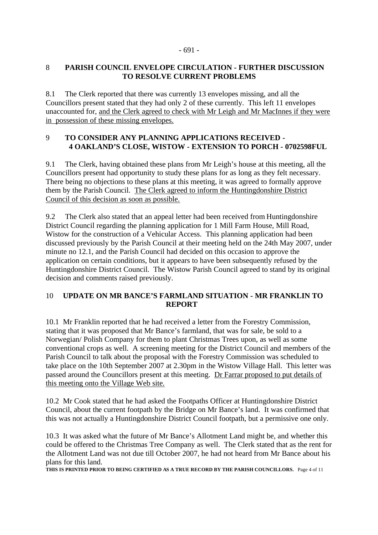# 8 **PARISH COUNCIL ENVELOPE CIRCULATION - FURTHER DISCUSSION TO RESOLVE CURRENT PROBLEMS**

8.1 The Clerk reported that there was currently 13 envelopes missing, and all the Councillors present stated that they had only 2 of these currently. This left 11 envelopes unaccounted for, and the Clerk agreed to check with Mr Leigh and Mr MacInnes if they were in possession of these missing envelopes.

#### 9 **TO CONSIDER ANY PLANNING APPLICATIONS RECEIVED - 4 OAKLAND'S CLOSE, WISTOW - EXTENSION TO PORCH - 0702598FUL**

9.1 The Clerk, having obtained these plans from Mr Leigh's house at this meeting, all the Councillors present had opportunity to study these plans for as long as they felt necessary. There being no objections to these plans at this meeting, it was agreed to formally approve them by the Parish Council. The Clerk agreed to inform the Huntingdonshire District Council of this decision as soon as possible.

9.2 The Clerk also stated that an appeal letter had been received from Huntingdonshire District Council regarding the planning application for 1 Mill Farm House, Mill Road, Wistow for the construction of a Vehicular Access. This planning application had been discussed previously by the Parish Council at their meeting held on the 24th May 2007, under minute no 12.1, and the Parish Council had decided on this occasion to approve the application on certain conditions, but it appears to have been subsequently refused by the Huntingdonshire District Council. The Wistow Parish Council agreed to stand by its original decision and comments raised previously.

# 10 **UPDATE ON MR BANCE'S FARMLAND SITUATION - MR FRANKLIN TO REPORT**

10.1 Mr Franklin reported that he had received a letter from the Forestry Commission, stating that it was proposed that Mr Bance's farmland, that was for sale, be sold to a Norwegian/ Polish Company for them to plant Christmas Trees upon, as well as some conventional crops as well. A screening meeting for the District Council and members of the Parish Council to talk about the proposal with the Forestry Commission was scheduled to take place on the 10th September 2007 at 2.30pm in the Wistow Village Hall. This letter was passed around the Councillors present at this meeting. Dr Farrar proposed to put details of this meeting onto the Village Web site.

10.2 Mr Cook stated that he had asked the Footpaths Officer at Huntingdonshire District Council, about the current footpath by the Bridge on Mr Bance's land. It was confirmed that this was not actually a Huntingdonshire District Council footpath, but a permissive one only.

10.3 It was asked what the future of Mr Bance's Allotment Land might be, and whether this could be offered to the Christmas Tree Company as well. The Clerk stated that as the rent for the Allotment Land was not due till October 2007, he had not heard from Mr Bance about his plans for this land.

**THIS IS PRINTED PRIOR TO BEING CERTIFIED AS A TRUE RECORD BY THE PARISH COUNCILLORS.** Page 4 of 11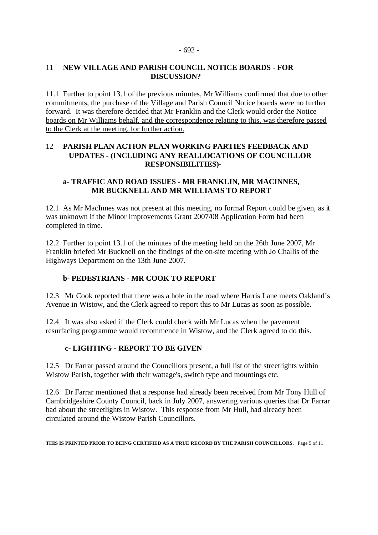#### - 692 -

#### 11 **NEW VILLAGE AND PARISH COUNCIL NOTICE BOARDS - FOR DISCUSSION?**

11.1 Further to point 13.1 of the previous minutes, Mr Williams confirmed that due to other commitments, the purchase of the Village and Parish Council Notice boards were no further forward. It was therefore decided that Mr Franklin and the Clerk would order the Notice boards on Mr Williams behalf, and the correspondence relating to this, was therefore passed to the Clerk at the meeting, for further action.

#### 12 **PARISH PLAN ACTION PLAN WORKING PARTIES FEEDBACK AND UPDATES - (INCLUDING ANY REALLOCATIONS OF COUNCILLOR RESPONSIBILITIES)-**

#### **a- TRAFFIC AND ROAD ISSUES - MR FRANKLIN, MR MACINNES, MR BUCKNELL AND MR WILLIAMS TO REPORT**

12.1 As Mr MacInnes was not present at this meeting, no formal Report could be given, as it was unknown if the Minor Improvements Grant 2007/08 Application Form had been completed in time.

12.2 Further to point 13.1 of the minutes of the meeting held on the 26th June 2007, Mr Franklin briefed Mr Bucknell on the findings of the on-site meeting with Jo Challis of the Highways Department on the 13th June 2007.

# **b- PEDESTRIANS - MR COOK TO REPORT**

12.3 Mr Cook reported that there was a hole in the road where Harris Lane meets Oakland's Avenue in Wistow, and the Clerk agreed to report this to Mr Lucas as soon as possible.

12.4 It was also asked if the Clerk could check with Mr Lucas when the pavement resurfacing programme would recommence in Wistow, and the Clerk agreed to do this.

# **c- LIGHTING - REPORT TO BE GIVEN**

12.5 Dr Farrar passed around the Councillors present, a full list of the streetlights within Wistow Parish, together with their wattage's, switch type and mountings etc.

12.6 Dr Farrar mentioned that a response had already been received from Mr Tony Hull of Cambridgeshire County Council, back in July 2007, answering various queries that Dr Farrar had about the streetlights in Wistow. This response from Mr Hull, had already been circulated around the Wistow Parish Councillors.

**THIS IS PRINTED PRIOR TO BEING CERTIFIED AS A TRUE RECORD BY THE PARISH COUNCILLORS.** Page 5 of 11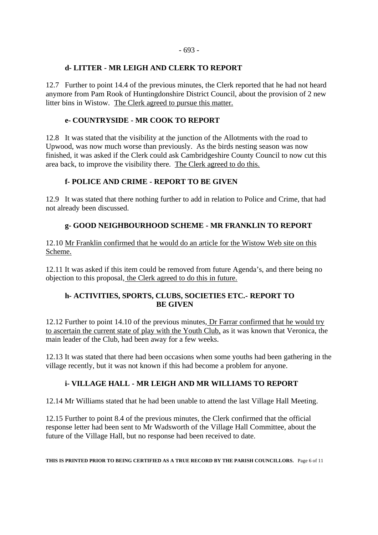#### **d- LITTER - MR LEIGH AND CLERK TO REPORT**

12.7 Further to point 14.4 of the previous minutes, the Clerk reported that he had not heard anymore from Pam Rook of Huntingdonshire District Council, about the provision of 2 new litter bins in Wistow. The Clerk agreed to pursue this matter.

## **e- COUNTRYSIDE - MR COOK TO REPORT**

12.8 It was stated that the visibility at the junction of the Allotments with the road to Upwood, was now much worse than previously. As the birds nesting season was now finished, it was asked if the Clerk could ask Cambridgeshire County Council to now cut this area back, to improve the visibility there. The Clerk agreed to do this.

# **f- POLICE AND CRIME - REPORT TO BE GIVEN**

12.9 It was stated that there nothing further to add in relation to Police and Crime, that had not already been discussed.

# **g- GOOD NEIGHBOURHOOD SCHEME - MR FRANKLIN TO REPORT**

12.10 Mr Franklin confirmed that he would do an article for the Wistow Web site on this Scheme.

12.11 It was asked if this item could be removed from future Agenda's, and there being no objection to this proposal, the Clerk agreed to do this in future.

#### **h- ACTIVITIES, SPORTS, CLUBS, SOCIETIES ETC.- REPORT TO BE GIVEN**

12.12 Further to point 14.10 of the previous minutes, Dr Farrar confirmed that he would try to ascertain the current state of play with the Youth Club, as it was known that Veronica, the main leader of the Club, had been away for a few weeks.

12.13 It was stated that there had been occasions when some youths had been gathering in the village recently, but it was not known if this had become a problem for anyone.

# **i- VILLAGE HALL - MR LEIGH AND MR WILLIAMS TO REPORT**

12.14 Mr Williams stated that he had been unable to attend the last Village Hall Meeting.

12.15 Further to point 8.4 of the previous minutes, the Clerk confirmed that the official response letter had been sent to Mr Wadsworth of the Village Hall Committee, about the future of the Village Hall, but no response had been received to date.

**THIS IS PRINTED PRIOR TO BEING CERTIFIED AS A TRUE RECORD BY THE PARISH COUNCILLORS.** Page 6 of 11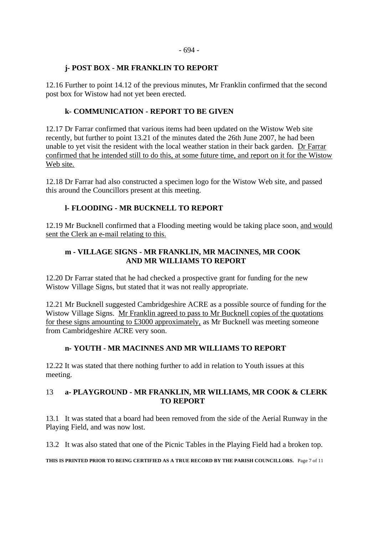#### - 694 -

#### **j- POST BOX - MR FRANKLIN TO REPORT**

12.16 Further to point 14.12 of the previous minutes, Mr Franklin confirmed that the second post box for Wistow had not yet been erected.

# **k- COMMUNICATION - REPORT TO BE GIVEN**

12.17 Dr Farrar confirmed that various items had been updated on the Wistow Web site recently, but further to point 13.21 of the minutes dated the 26th June 2007, he had been unable to yet visit the resident with the local weather station in their back garden. Dr Farrar confirmed that he intended still to do this, at some future time, and report on it for the Wistow Web site.

12.18 Dr Farrar had also constructed a specimen logo for the Wistow Web site, and passed this around the Councillors present at this meeting.

# **l- FLOODING - MR BUCKNELL TO REPORT**

12.19 Mr Bucknell confirmed that a Flooding meeting would be taking place soon, and would sent the Clerk an e-mail relating to this.

## **m - VILLAGE SIGNS - MR FRANKLIN, MR MACINNES, MR COOK AND MR WILLIAMS TO REPORT**

12.20 Dr Farrar stated that he had checked a prospective grant for funding for the new Wistow Village Signs, but stated that it was not really appropriate.

12.21 Mr Bucknell suggested Cambridgeshire ACRE as a possible source of funding for the Wistow Village Signs. Mr Franklin agreed to pass to Mr Bucknell copies of the quotations for these signs amounting to £3000 approximately, as Mr Bucknell was meeting someone from Cambridgeshire ACRE very soon.

# **n- YOUTH - MR MACINNES AND MR WILLIAMS TO REPORT**

12.22 It was stated that there nothing further to add in relation to Youth issues at this meeting.

#### 13 **a- PLAYGROUND - MR FRANKLIN, MR WILLIAMS, MR COOK & CLERK TO REPORT**

13.1 It was stated that a board had been removed from the side of the Aerial Runway in the Playing Field, and was now lost.

13.2 It was also stated that one of the Picnic Tables in the Playing Field had a broken top.

**THIS IS PRINTED PRIOR TO BEING CERTIFIED AS A TRUE RECORD BY THE PARISH COUNCILLORS.** Page 7 of 11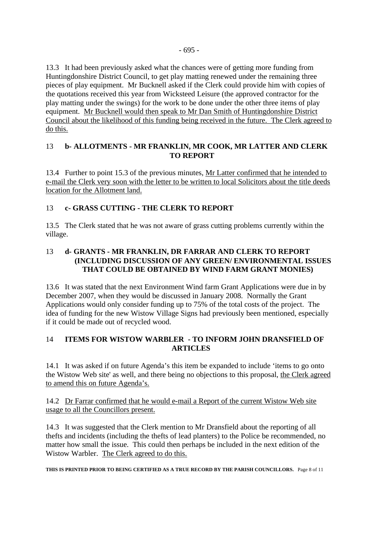13.3 It had been previously asked what the chances were of getting more funding from Huntingdonshire District Council, to get play matting renewed under the remaining three pieces of play equipment. Mr Bucknell asked if the Clerk could provide him with copies of the quotations received this year from Wicksteed Leisure (the approved contractor for the play matting under the swings) for the work to be done under the other three items of play equipment. Mr Bucknell would then speak to Mr Dan Smith of Huntingdonshire District Council about the likelihood of this funding being received in the future. The Clerk agreed to do this.

# 13 **b- ALLOTMENTS - MR FRANKLIN, MR COOK, MR LATTER AND CLERK TO REPORT**

13.4 Further to point 15.3 of the previous minutes, Mr Latter confirmed that he intended to e-mail the Clerk very soon with the letter to be written to local Solicitors about the title deeds location for the Allotment land.

# 13 **c- GRASS CUTTING - THE CLERK TO REPORT**

13.5 The Clerk stated that he was not aware of grass cutting problems currently within the village.

# 13 **d- GRANTS - MR FRANKLIN, DR FARRAR AND CLERK TO REPORT (INCLUDING DISCUSSION OF ANY GREEN/ ENVIRONMENTAL ISSUES THAT COULD BE OBTAINED BY WIND FARM GRANT MONIES)**

13.6 It was stated that the next Environment Wind farm Grant Applications were due in by December 2007, when they would be discussed in January 2008. Normally the Grant Applications would only consider funding up to 75% of the total costs of the project. The idea of funding for the new Wistow Village Signs had previously been mentioned, especially if it could be made out of recycled wood.

# 14 **ITEMS FOR WISTOW WARBLER - TO INFORM JOHN DRANSFIELD OF ARTICLES**

14.1 It was asked if on future Agenda's this item be expanded to include 'items to go onto the Wistow Web site' as well, and there being no objections to this proposal, the Clerk agreed to amend this on future Agenda's.

#### 14.2 Dr Farrar confirmed that he would e-mail a Report of the current Wistow Web site usage to all the Councillors present.

14.3 It was suggested that the Clerk mention to Mr Dransfield about the reporting of all thefts and incidents (including the thefts of lead planters) to the Police be recommended, no matter how small the issue. This could then perhaps be included in the next edition of the Wistow Warbler. The Clerk agreed to do this.

**THIS IS PRINTED PRIOR TO BEING CERTIFIED AS A TRUE RECORD BY THE PARISH COUNCILLORS.** Page 8 of 11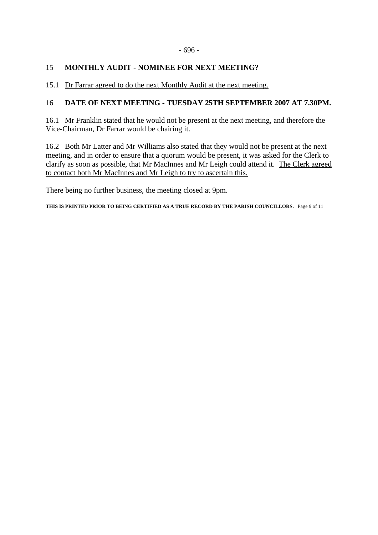#### - 696 -

# 15 **MONTHLY AUDIT - NOMINEE FOR NEXT MEETING?**

15.1 Dr Farrar agreed to do the next Monthly Audit at the next meeting.

# 16 **DATE OF NEXT MEETING - TUESDAY 25TH SEPTEMBER 2007 AT 7.30PM.**

16.1 Mr Franklin stated that he would not be present at the next meeting, and therefore the Vice-Chairman, Dr Farrar would be chairing it.

16.2 Both Mr Latter and Mr Williams also stated that they would not be present at the next meeting, and in order to ensure that a quorum would be present, it was asked for the Clerk to clarify as soon as possible, that Mr MacInnes and Mr Leigh could attend it. The Clerk agreed to contact both Mr MacInnes and Mr Leigh to try to ascertain this.

There being no further business, the meeting closed at 9pm.

**THIS IS PRINTED PRIOR TO BEING CERTIFIED AS A TRUE RECORD BY THE PARISH COUNCILLORS.** Page 9 of 11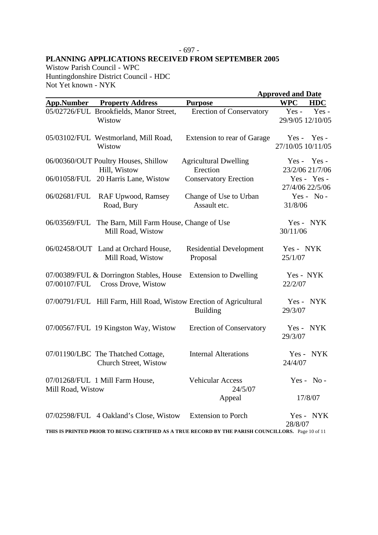#### - 697 - **PLANNING APPLICATIONS RECEIVED FROM SEPTEMBER 2005**

Wistow Parish Council - WPC Huntingdonshire District Council - HDC Not Yet known - NYK

|                   |                                                                    |                                                                                                    | <b>Approved and Date</b>            |
|-------------------|--------------------------------------------------------------------|----------------------------------------------------------------------------------------------------|-------------------------------------|
|                   | <b>App.Number</b> Property Address                                 | <b>Purpose</b>                                                                                     | <b>WPC</b><br><b>HDC</b>            |
|                   | 05/02726/FUL Brookfields, Manor Street,<br>Wistow                  | <b>Erection of Conservatory</b>                                                                    | $Yes -$<br>Yes-<br>29/9/05 12/10/05 |
|                   | 05/03102/FUL Westmorland, Mill Road,<br>Wistow                     | Extension to rear of Garage                                                                        | $Yes - Yes -$<br>27/10/05 10/11/05  |
|                   | 06/00360/OUT Poultry Houses, Shillow<br>Hill, Wistow               | <b>Agricultural Dwelling</b><br>Erection                                                           | $Yes - Yes -$<br>23/2/06 21/7/06    |
|                   | 06/01058/FUL 20 Harris Lane, Wistow                                | <b>Conservatory Erection</b>                                                                       | Yes - Yes -<br>27/4/06 22/5/06      |
| 06/02681/FUL      | RAF Upwood, Ramsey<br>Road, Bury                                   | Change of Use to Urban<br>Assault etc.                                                             | $Yes - No -$<br>31/8/06             |
| 06/03569/FUL      | The Barn, Mill Farm House, Change of Use<br>Mill Road, Wistow      |                                                                                                    | Yes - NYK<br>30/11/06               |
|                   | 06/02458/OUT Land at Orchard House,<br>Mill Road, Wistow           | <b>Residential Development</b><br>Proposal                                                         | Yes - NYK<br>25/1/07                |
| 07/00107/FUL      | 07/00389/FUL & Dorrington Stables, House<br>Cross Drove, Wistow    | <b>Extension to Dwelling</b>                                                                       | Yes - NYK<br>22/2/07                |
|                   | 07/00791/FUL Hill Farm, Hill Road, Wistow Erection of Agricultural | <b>Building</b>                                                                                    | Yes - NYK<br>29/3/07                |
|                   | 07/00567/FUL 19 Kingston Way, Wistow                               | <b>Erection of Conservatory</b>                                                                    | Yes - NYK<br>29/3/07                |
|                   | 07/01190/LBC The Thatched Cottage,<br>Church Street, Wistow        | <b>Internal Alterations</b>                                                                        | Yes - NYK<br>24/4/07                |
| Mill Road, Wistow | 07/01268/FUL 1 Mill Farm House,                                    | <b>Vehicular Access</b><br>24/5/07                                                                 | Yes - $No -$                        |
|                   |                                                                    | Appeal                                                                                             | 17/8/07                             |
|                   | 07/02598/FUL 4 Oakland's Close, Wistow                             | <b>Extension to Porch</b>                                                                          | Yes - NYK<br>28/8/07                |
|                   |                                                                    | THIS IS PRINTED PRIOR TO BEING CERTIFIED AS A TRUE RECORD BY THE PARISH COUNCILLORS. Page 10 of 11 |                                     |